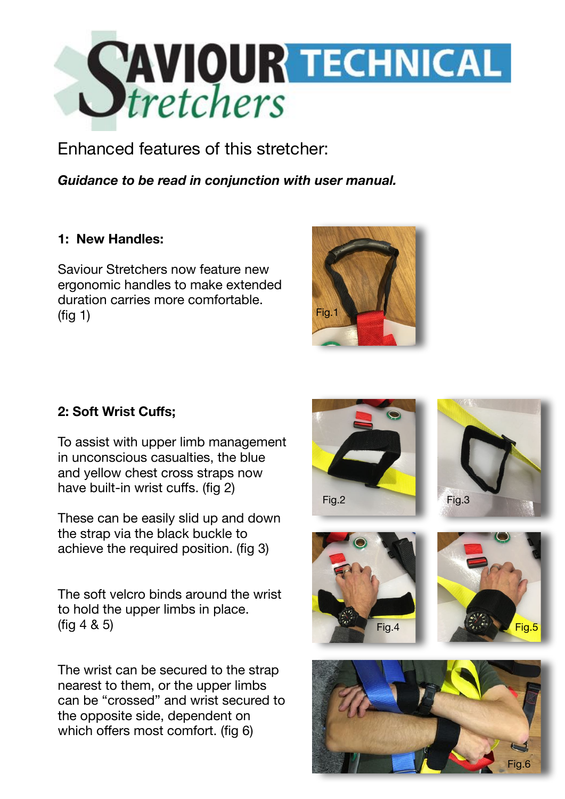

Enhanced features of this stretcher:

*Guidance to be read in conjunction with user manual.*

## **1: New Handles:**

Saviour Stretchers now feature new ergonomic handles to make extended duration carries more comfortable.  $(fia 1)$ 



## **2: Soft Wrist Cuffs;**

To assist with upper limb management in unconscious casualties, the blue and yellow chest cross straps now have built-in wrist cuffs. (fig 2)

These can be easily slid up and down the strap via the black buckle to achieve the required position. (fig 3)

The soft velcro binds around the wrist to hold the upper limbs in place. (fig 4 & 5)

The wrist can be secured to the strap nearest to them, or the upper limbs can be "crossed" and wrist secured to the opposite side, dependent on which offers most comfort. (fig 6)



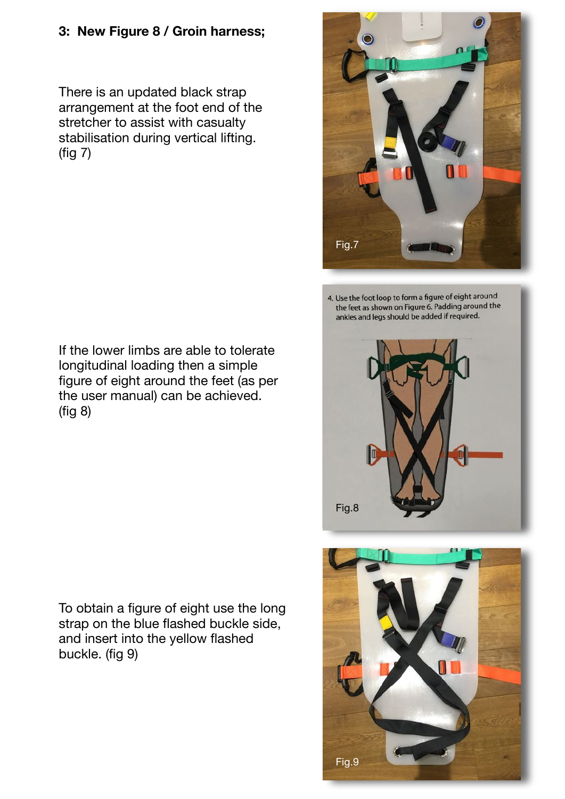## **3: New Figure 8 / Groin harness;**

There is an updated black strap arrangement at the foot end of the stretcher to assist with casualty stabilisation during vertical lifting. (fig 7)

If the lower limbs are able to tolerate longitudinal loading then a simple figure of eight around the feet (as per the user manual) can be achieved. (fig 8)

To obtain a figure of eight use the long strap on the blue flashed buckle side, and insert into the yellow flashed buckle. (fig 9)

Fig.7

4. Use the foot loop to form a figure of eight around the feet as shown on Figure 6. Padding around the ankles and legs should be added if required.